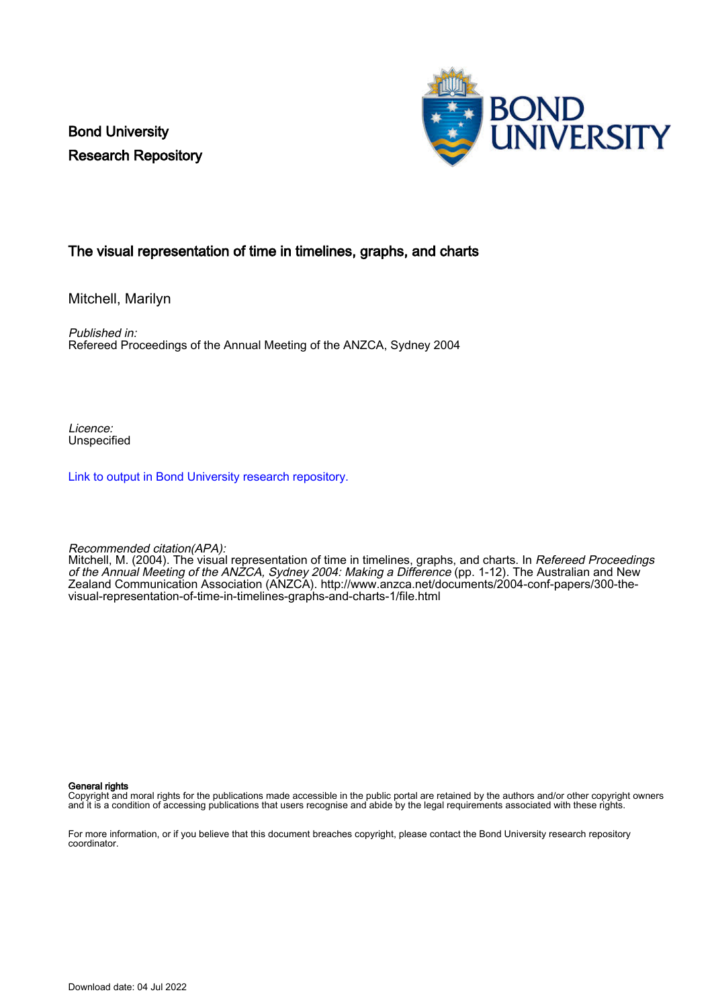Bond University Research Repository



#### The visual representation of time in timelines, graphs, and charts

Mitchell, Marilyn

Published in: Refereed Proceedings of the Annual Meeting of the ANZCA, Sydney 2004

Licence: Unspecified

[Link to output in Bond University research repository.](https://research.bond.edu.au/en/publications/6abf317c-80c0-455d-bb48-4953caf2c126)

Recommended citation(APA):

Mitchell, M. (2004). The visual representation of time in timelines, graphs, and charts. In *Refereed Proceedings* of the Annual Meeting of the ANZCA, Sydney 2004: Making a Difference (pp. 1-12). The Australian and New Zealand Communication Association (ANZCA). [http://www.anzca.net/documents/2004-conf-papers/300-the](http://www.anzca.net/documents/2004-conf-papers/300-the-visual-representation-of-time-in-timelines-graphs-and-charts-1/file.html)[visual-representation-of-time-in-timelines-graphs-and-charts-1/file.html](http://www.anzca.net/documents/2004-conf-papers/300-the-visual-representation-of-time-in-timelines-graphs-and-charts-1/file.html)

#### General rights

Copyright and moral rights for the publications made accessible in the public portal are retained by the authors and/or other copyright owners and it is a condition of accessing publications that users recognise and abide by the legal requirements associated with these rights.

For more information, or if you believe that this document breaches copyright, please contact the Bond University research repository coordinator.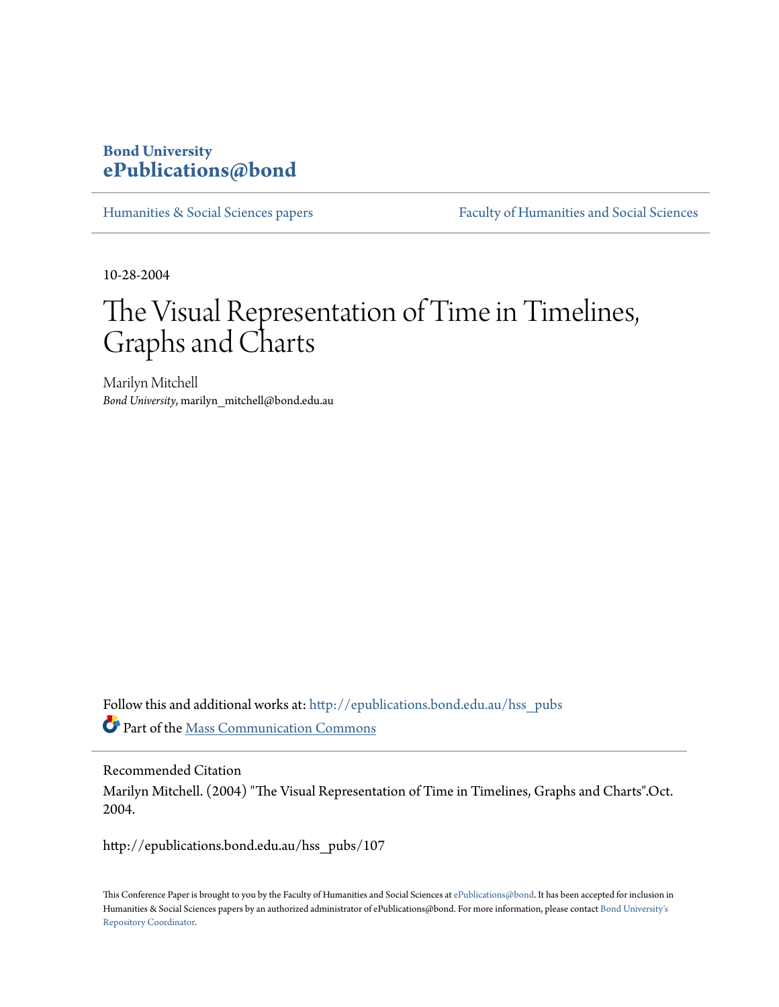## **Bond University [ePublications@bond](http://epublications.bond.edu.au?utm_source=epublications.bond.edu.au%2Fhss_pubs%2F107&utm_medium=PDF&utm_campaign=PDFCoverPages)**

[Humanities & Social Sciences papers](http://epublications.bond.edu.au/hss_pubs?utm_source=epublications.bond.edu.au%2Fhss_pubs%2F107&utm_medium=PDF&utm_campaign=PDFCoverPages) [Faculty of Humanities and Social Sciences](http://epublications.bond.edu.au/hss?utm_source=epublications.bond.edu.au%2Fhss_pubs%2F107&utm_medium=PDF&utm_campaign=PDFCoverPages)

10-28-2004

# The Visual Representation of Time in Timelines, Graphs and Charts

Marilyn Mitchell *Bond University*, marilyn\_mitchell@bond.edu.au

Follow this and additional works at: [http://epublications.bond.edu.au/hss\\_pubs](http://epublications.bond.edu.au/hss_pubs?utm_source=epublications.bond.edu.au%2Fhss_pubs%2F107&utm_medium=PDF&utm_campaign=PDFCoverPages) Part of the [Mass Communication Commons](http://network.bepress.com/hgg/discipline/334?utm_source=epublications.bond.edu.au%2Fhss_pubs%2F107&utm_medium=PDF&utm_campaign=PDFCoverPages)

Recommended Citation Marilyn Mitchell. (2004) "The Visual Representation of Time in Timelines, Graphs and Charts".Oct. 2004.

http://epublications.bond.edu.au/hss\_pubs/107

This Conference Paper is brought to you by the Faculty of Humanities and Social Sciences at [ePublications@bond.](http://epublications.bond.edu.au) It has been accepted for inclusion in Humanities & Social Sciences papers by an authorized administrator of ePublications@bond. For more information, please contact [Bond University's](mailto:acass@bond.edu.au) [Repository Coordinator](mailto:acass@bond.edu.au).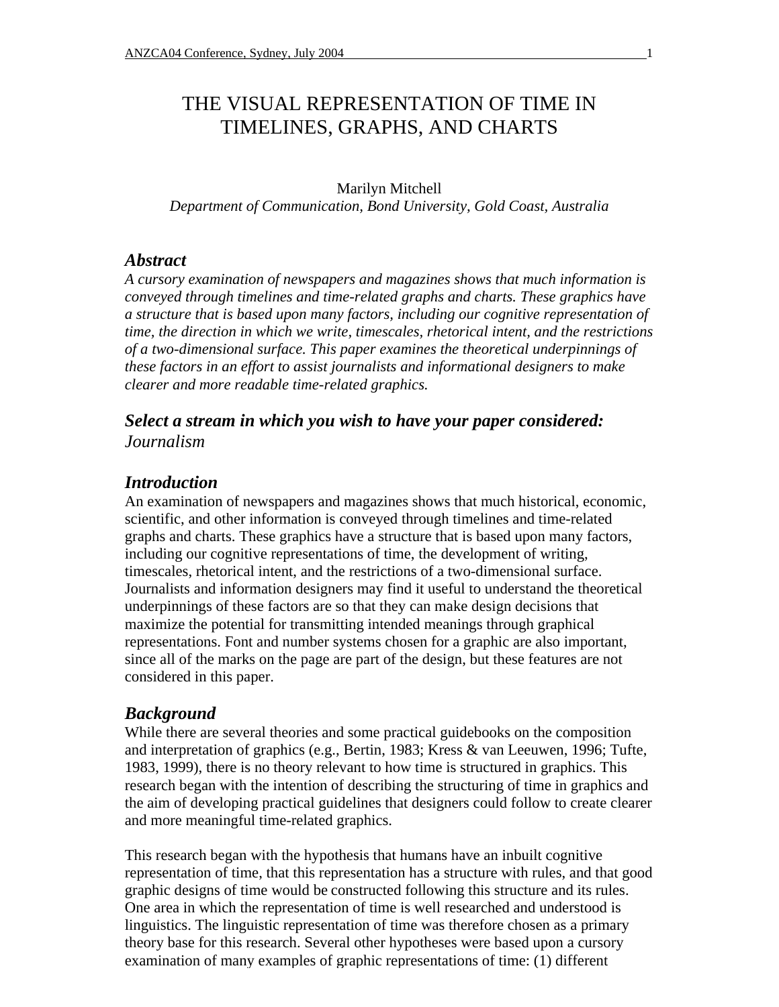## THE VISUAL REPRESENTATION OF TIME IN TIMELINES, GRAPHS, AND CHARTS

Marilyn Mitchell *Department of Communication, Bond University, Gold Coast, Australia*

#### *Abstract*

*A cursory examination of newspapers and magazines shows that much information is conveyed through timelines and time-related graphs and charts. These graphics have a structure that is based upon many factors, including our cognitive representation of time, the direction in which we write, timescales, rhetorical intent, and the restrictions of a two-dimensional surface. This paper examines the theoretical underpinnings of these factors in an effort to assist journalists and informational designers to make clearer and more readable time-related graphics.*

### *Select a stream in which you wish to have your paper considered: Journalism*

#### *Introduction*

An examination of newspapers and magazines shows that much historical, economic, scientific, and other information is conveyed through timelines and time-related graphs and charts. These graphics have a structure that is based upon many factors, including our cognitive representations of time, the development of writing, timescales, rhetorical intent, and the restrictions of a two-dimensional surface. Journalists and information designers may find it useful to understand the theoretical underpinnings of these factors are so that they can make design decisions that maximize the potential for transmitting intended meanings through graphical representations. Font and number systems chosen for a graphic are also important, since all of the marks on the page are part of the design, but these features are not considered in this paper.

#### *Background*

While there are several theories and some practical guidebooks on the composition and interpretation of graphics (e.g., Bertin, 1983; Kress & van Leeuwen, 1996; Tufte, 1983, 1999), there is no theory relevant to how time is structured in graphics. This research began with the intention of describing the structuring of time in graphics and the aim of developing practical guidelines that designers could follow to create clearer and more meaningful time-related graphics.

This research began with the hypothesis that humans have an inbuilt cognitive representation of time, that this representation has a structure with rules, and that good graphic designs of time would be constructed following this structure and its rules. One area in which the representation of time is well researched and understood is linguistics. The linguistic representation of time was therefore chosen as a primary theory base for this research. Several other hypotheses were based upon a cursory examination of many examples of graphic representations of time: (1) different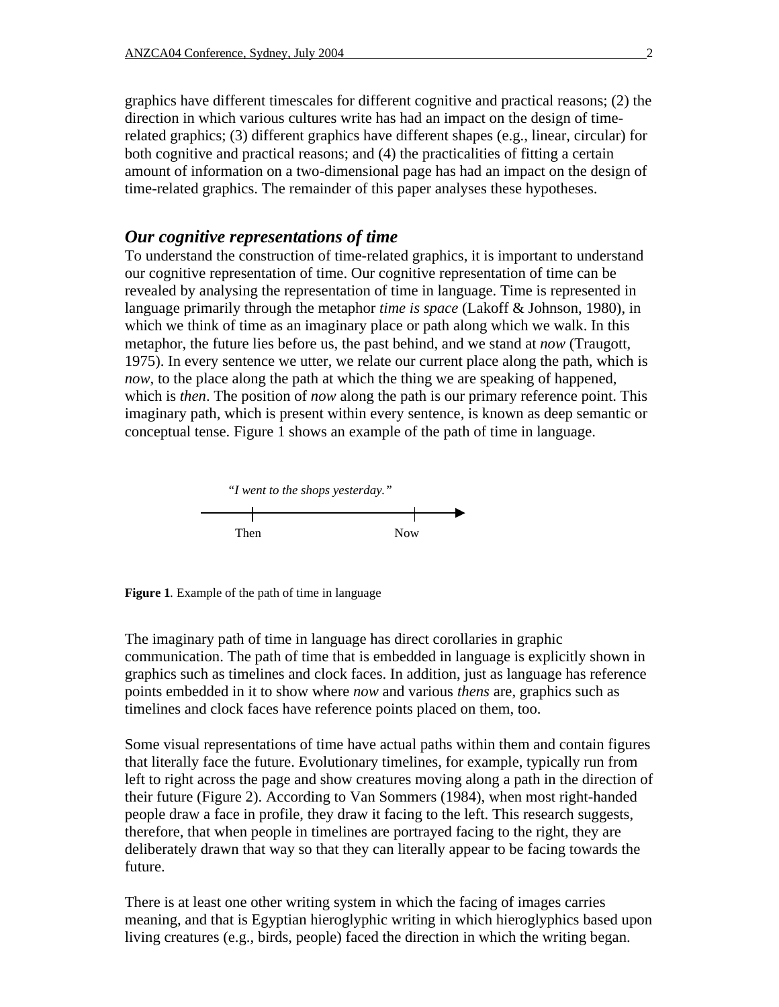graphics have different timescales for different cognitive and practical reasons; (2) the direction in which various cultures write has had an impact on the design of timerelated graphics; (3) different graphics have different shapes (e.g., linear, circular) for both cognitive and practical reasons; and (4) the practicalities of fitting a certain amount of information on a two-dimensional page has had an impact on the design of time-related graphics. The remainder of this paper analyses these hypotheses.

#### *Our cognitive representations of time*

To understand the construction of time-related graphics, it is important to understand our cognitive representation of time. Our cognitive representation of time can be revealed by analysing the representation of time in language. Time is represented in language primarily through the metaphor *time is space* (Lakoff & Johnson, 1980), in which we think of time as an imaginary place or path along which we walk. In this metaphor, the future lies before us, the past behind, and we stand at *now* (Traugott, 1975). In every sentence we utter, we relate our current place along the path, which is *now*, to the place along the path at which the thing we are speaking of happened, which is *then*. The position of *now* along the path is our primary reference point. This imaginary path, which is present within every sentence, is known as deep semantic or conceptual tense. Figure 1 shows an example of the path of time in language.



**Figure 1***.* Example of the path of time in language

The imaginary path of time in language has direct corollaries in graphic communication. The path of time that is embedded in language is explicitly shown in graphics such as timelines and clock faces. In addition, just as language has reference points embedded in it to show where *now* and various *thens* are, graphics such as timelines and clock faces have reference points placed on them, too.

Some visual representations of time have actual paths within them and contain figures that literally face the future. Evolutionary timelines, for example, typically run from left to right across the page and show creatures moving along a path in the direction of their future (Figure 2). According to Van Sommers (1984), when most right-handed people draw a face in profile, they draw it facing to the left. This research suggests, therefore, that when people in timelines are portrayed facing to the right, they are deliberately drawn that way so that they can literally appear to be facing towards the future.

There is at least one other writing system in which the facing of images carries meaning, and that is Egyptian hieroglyphic writing in which hieroglyphics based upon living creatures (e.g., birds, people) faced the direction in which the writing began.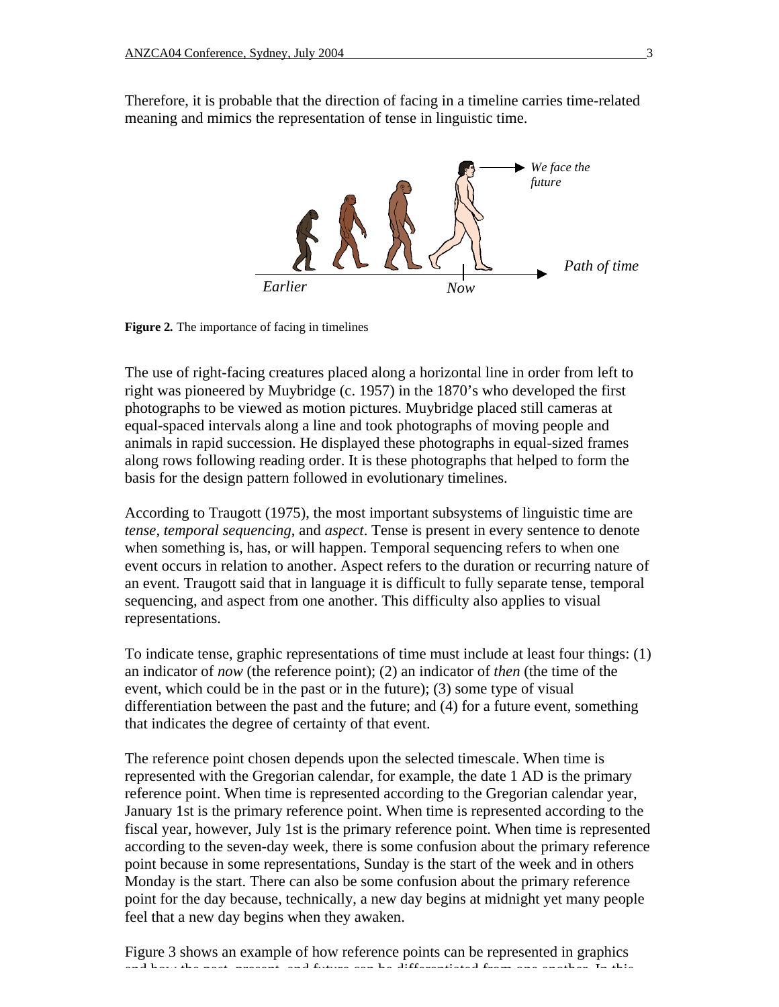Therefore, it is probable that the direction of facing in a timeline carries time-related meaning and mimics the representation of tense in linguistic time.



**Figure 2***.* The importance of facing in timelines

The use of right-facing creatures placed along a horizontal line in order from left to right was pioneered by Muybridge (c. 1957) in the 1870's who developed the first photographs to be viewed as motion pictures. Muybridge placed still cameras at equal-spaced intervals along a line and took photographs of moving people and animals in rapid succession. He displayed these photographs in equal-sized frames along rows following reading order. It is these photographs that helped to form the basis for the design pattern followed in evolutionary timelines.

According to Traugott (1975), the most important subsystems of linguistic time are *tense*, *temporal sequencing*, and *aspect*. Tense is present in every sentence to denote when something is, has, or will happen. Temporal sequencing refers to when one event occurs in relation to another. Aspect refers to the duration or recurring nature of an event. Traugott said that in language it is difficult to fully separate tense, temporal sequencing, and aspect from one another. This difficulty also applies to visual representations.

To indicate tense, graphic representations of time must include at least four things: (1) an indicator of *now* (the reference point); (2) an indicator of *then* (the time of the event, which could be in the past or in the future); (3) some type of visual differentiation between the past and the future; and (4) for a future event, something that indicates the degree of certainty of that event.

The reference point chosen depends upon the selected timescale. When time is represented with the Gregorian calendar, for example, the date 1 AD is the primary reference point. When time is represented according to the Gregorian calendar year, January 1st is the primary reference point. When time is represented according to the fiscal year, however, July 1st is the primary reference point. When time is represented according to the seven-day week, there is some confusion about the primary reference point because in some representations, Sunday is the start of the week and in others Monday is the start. There can also be some confusion about the primary reference point for the day because, technically, a new day begins at midnight yet many people feel that a new day begins when they awaken.

Figure 3 shows an example of how reference points can be represented in graphics and how the past, present, and future can be differentiated from one another. In this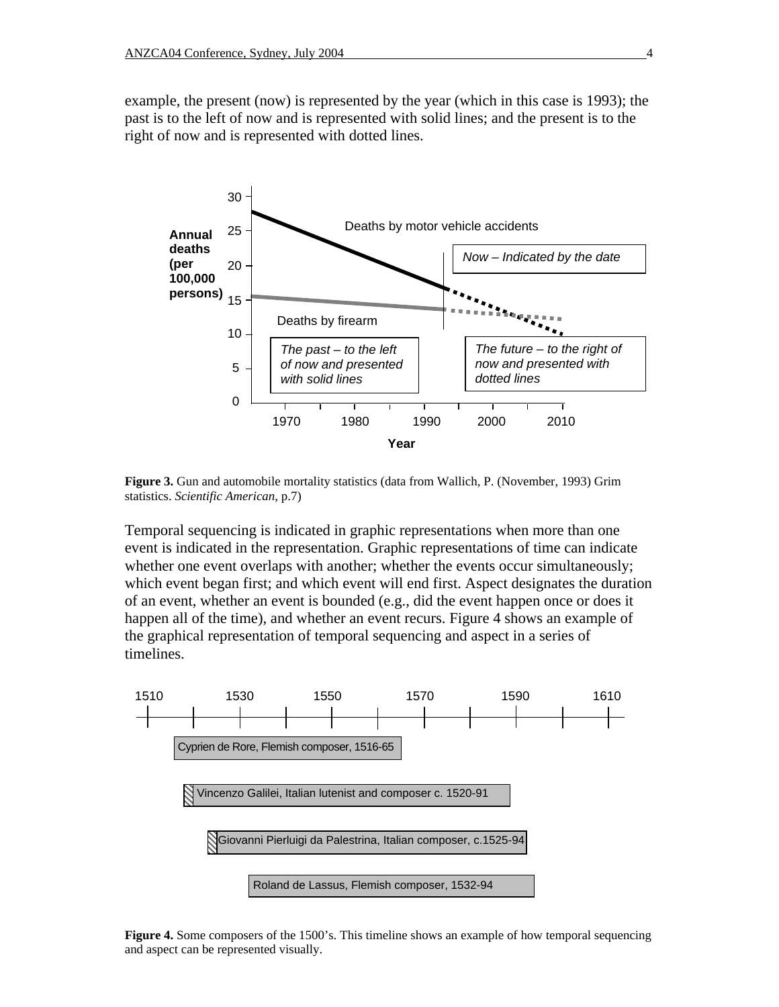example, the present (now) is represented by the year (which in this case is 1993); the past is to the left of now and is represented with solid lines; and the present is to the right of now and is represented with dotted lines.



**Figure 3.** Gun and automobile mortality statistics (data from Wallich, P. (November, 1993) Grim statistics. *Scientific American*, p.7)

Temporal sequencing is indicated in graphic representations when more than one event is indicated in the representation. Graphic representations of time can indicate whether one event overlaps with another; whether the events occur simultaneously; which event began first; and which event will end first. Aspect designates the duration of an event, whether an event is bounded (e.g., did the event happen once or does it happen all of the time), and whether an event recurs. Figure 4 shows an example of the graphical representation of temporal sequencing and aspect in a series of timelines.



**Figure 4.** Some composers of the 1500's. This timeline shows an example of how temporal sequencing and aspect can be represented visually.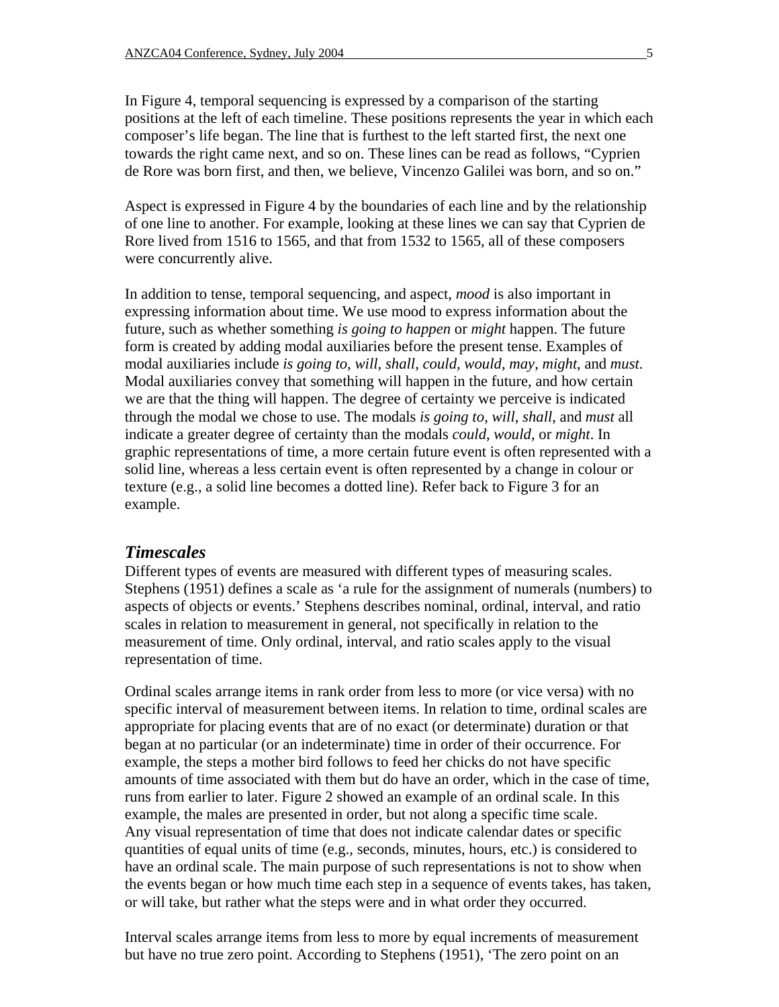In Figure 4, temporal sequencing is expressed by a comparison of the starting positions at the left of each timeline. These positions represents the year in which each composer's life began. The line that is furthest to the left started first, the next one towards the right came next, and so on. These lines can be read as follows, "Cyprien de Rore was born first, and then, we believe, Vincenzo Galilei was born, and so on."

Aspect is expressed in Figure 4 by the boundaries of each line and by the relationship of one line to another. For example, looking at these lines we can say that Cyprien de Rore lived from 1516 to 1565, and that from 1532 to 1565, all of these composers were concurrently alive.

In addition to tense, temporal sequencing, and aspect, *mood* is also important in expressing information about time. We use mood to express information about the future, such as whether something *is going to happen* or *might* happen. The future form is created by adding modal auxiliaries before the present tense. Examples of modal auxiliaries include *is going to*, *will*, *shall*, *could, would*, *may*, *might*, and *must*. Modal auxiliaries convey that something will happen in the future, and how certain we are that the thing will happen. The degree of certainty we perceive is indicated through the modal we chose to use. The modals *is going to*, *will*, *shall*, and *must* all indicate a greater degree of certainty than the modals *could*, *would*, or *might*. In graphic representations of time, a more certain future event is often represented with a solid line, whereas a less certain event is often represented by a change in colour or texture (e.g., a solid line becomes a dotted line). Refer back to Figure 3 for an example.

#### *Timescales*

Different types of events are measured with different types of measuring scales. Stephens (1951) defines a scale as 'a rule for the assignment of numerals (numbers) to aspects of objects or events.' Stephens describes nominal, ordinal, interval, and ratio scales in relation to measurement in general, not specifically in relation to the measurement of time. Only ordinal, interval, and ratio scales apply to the visual representation of time.

Ordinal scales arrange items in rank order from less to more (or vice versa) with no specific interval of measurement between items. In relation to time, ordinal scales are appropriate for placing events that are of no exact (or determinate) duration or that began at no particular (or an indeterminate) time in order of their occurrence. For example, the steps a mother bird follows to feed her chicks do not have specific amounts of time associated with them but do have an order, which in the case of time, runs from earlier to later. Figure 2 showed an example of an ordinal scale. In this example, the males are presented in order, but not along a specific time scale. Any visual representation of time that does not indicate calendar dates or specific quantities of equal units of time (e.g., seconds, minutes, hours, etc.) is considered to have an ordinal scale. The main purpose of such representations is not to show when the events began or how much time each step in a sequence of events takes, has taken, or will take, but rather what the steps were and in what order they occurred.

Interval scales arrange items from less to more by equal increments of measurement but have no true zero point. According to Stephens (1951), 'The zero point on an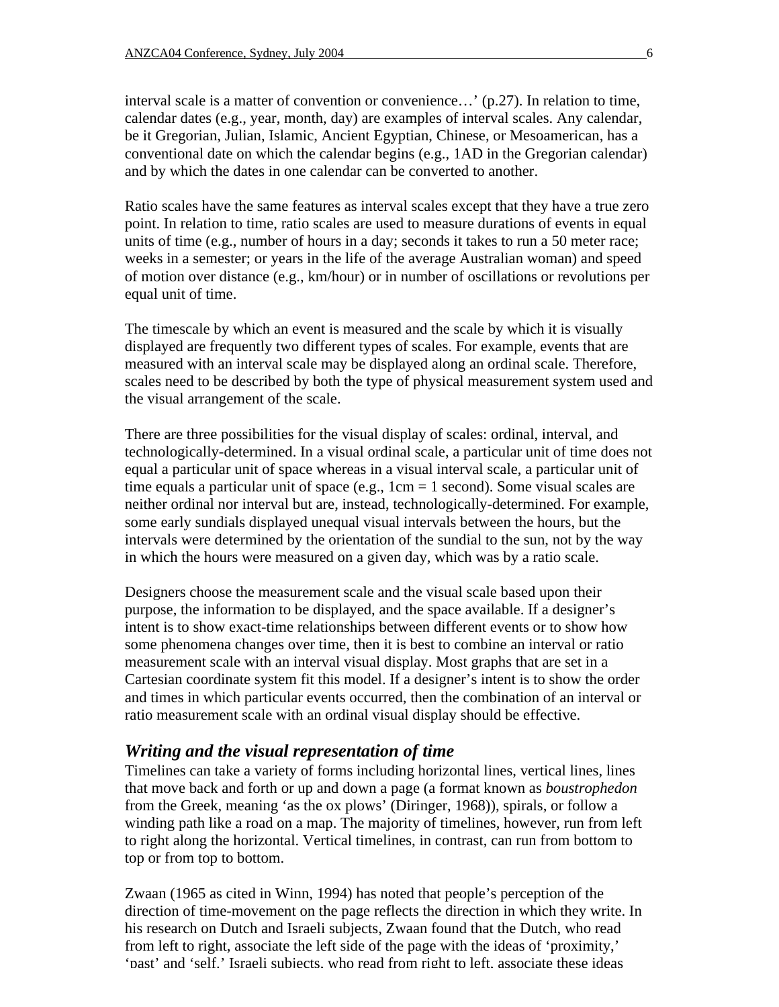interval scale is a matter of convention or convenience…' (p.27). In relation to time, calendar dates (e.g., year, month, day) are examples of interval scales. Any calendar, be it Gregorian, Julian, Islamic, Ancient Egyptian, Chinese, or Mesoamerican, has a conventional date on which the calendar begins (e.g., 1AD in the Gregorian calendar) and by which the dates in one calendar can be converted to another.

Ratio scales have the same features as interval scales except that they have a true zero point. In relation to time, ratio scales are used to measure durations of events in equal units of time (e.g., number of hours in a day; seconds it takes to run a 50 meter race; weeks in a semester; or years in the life of the average Australian woman) and speed of motion over distance (e.g., km/hour) or in number of oscillations or revolutions per equal unit of time.

The timescale by which an event is measured and the scale by which it is visually displayed are frequently two different types of scales. For example, events that are measured with an interval scale may be displayed along an ordinal scale. Therefore, scales need to be described by both the type of physical measurement system used and the visual arrangement of the scale.

There are three possibilities for the visual display of scales: ordinal, interval, and technologically-determined. In a visual ordinal scale, a particular unit of time does not equal a particular unit of space whereas in a visual interval scale, a particular unit of time equals a particular unit of space (e.g., 1cm = 1 second). Some visual scales are neither ordinal nor interval but are, instead, technologically-determined. For example, some early sundials displayed unequal visual intervals between the hours, but the intervals were determined by the orientation of the sundial to the sun, not by the way in which the hours were measured on a given day, which was by a ratio scale.

Designers choose the measurement scale and the visual scale based upon their purpose, the information to be displayed, and the space available. If a designer's intent is to show exact-time relationships between different events or to show how some phenomena changes over time, then it is best to combine an interval or ratio measurement scale with an interval visual display. Most graphs that are set in a Cartesian coordinate system fit this model. If a designer's intent is to show the order and times in which particular events occurred, then the combination of an interval or ratio measurement scale with an ordinal visual display should be effective.

#### *Writing and the visual representation of time*

Timelines can take a variety of forms including horizontal lines, vertical lines, lines that move back and forth or up and down a page (a format known as *boustrophedon* from the Greek, meaning 'as the ox plows' (Diringer, 1968)), spirals, or follow a winding path like a road on a map. The majority of timelines, however, run from left to right along the horizontal. Vertical timelines, in contrast, can run from bottom to top or from top to bottom.

Zwaan (1965 as cited in Winn, 1994) has noted that people's perception of the direction of time-movement on the page reflects the direction in which they write. In his research on Dutch and Israeli subjects, Zwaan found that the Dutch, who read from left to right, associate the left side of the page with the ideas of 'proximity,' 'past' and 'self.' Israeli subjects, who read from right to left, associate these ideas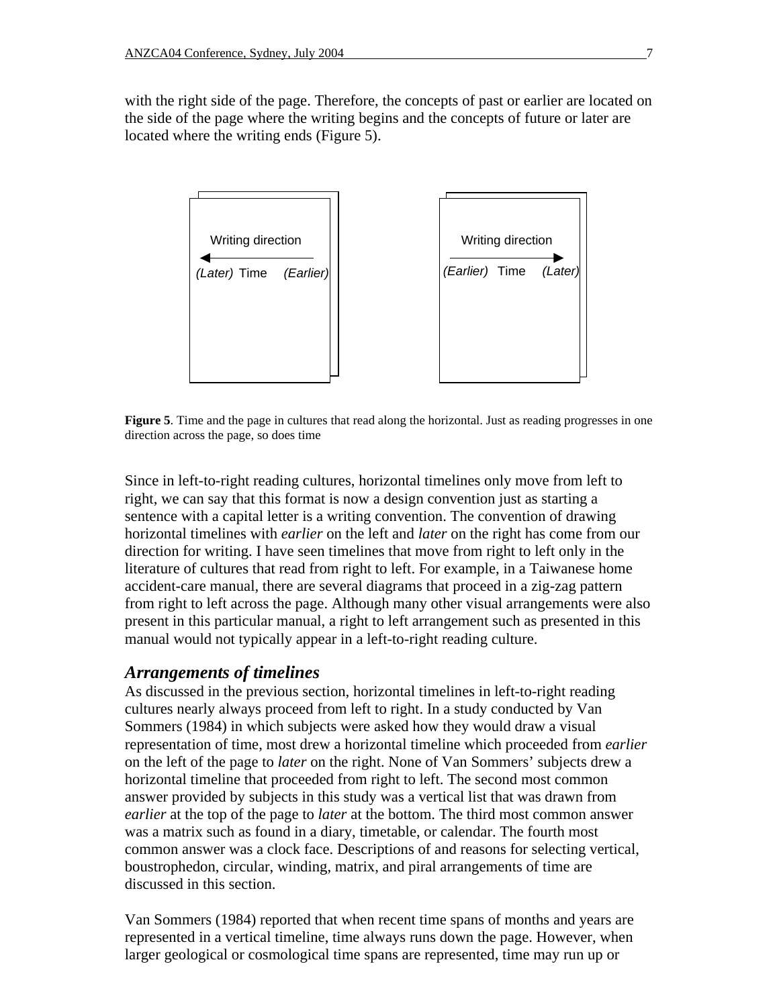with the right side of the page. Therefore, the concepts of past or earlier are located on the side of the page where the writing begins and the concepts of future or later are located where the writing ends (Figure 5).



**Figure 5**. Time and the page in cultures that read along the horizontal. Just as reading progresses in one direction across the page, so does time

Since in left-to-right reading cultures, horizontal timelines only move from left to right, we can say that this format is now a design convention just as starting a sentence with a capital letter is a writing convention. The convention of drawing horizontal timelines with *earlier* on the left and *later* on the right has come from our direction for writing. I have seen timelines that move from right to left only in the literature of cultures that read from right to left. For example, in a Taiwanese home accident-care manual, there are several diagrams that proceed in a zig-zag pattern from right to left across the page. Although many other visual arrangements were also present in this particular manual, a right to left arrangement such as presented in this manual would not typically appear in a left-to-right reading culture.

#### *Arrangements of timelines*

As discussed in the previous section, horizontal timelines in left-to-right reading cultures nearly always proceed from left to right. In a study conducted by Van Sommers (1984) in which subjects were asked how they would draw a visual representation of time, most drew a horizontal timeline which proceeded from *earlier* on the left of the page to *later* on the right. None of Van Sommers' subjects drew a horizontal timeline that proceeded from right to left. The second most common answer provided by subjects in this study was a vertical list that was drawn from *earlier* at the top of the page to *later* at the bottom. The third most common answer was a matrix such as found in a diary, timetable, or calendar. The fourth most common answer was a clock face. Descriptions of and reasons for selecting vertical, boustrophedon, circular, winding, matrix, and piral arrangements of time are discussed in this section.

Van Sommers (1984) reported that when recent time spans of months and years are represented in a vertical timeline, time always runs down the page. However, when larger geological or cosmological time spans are represented, time may run up or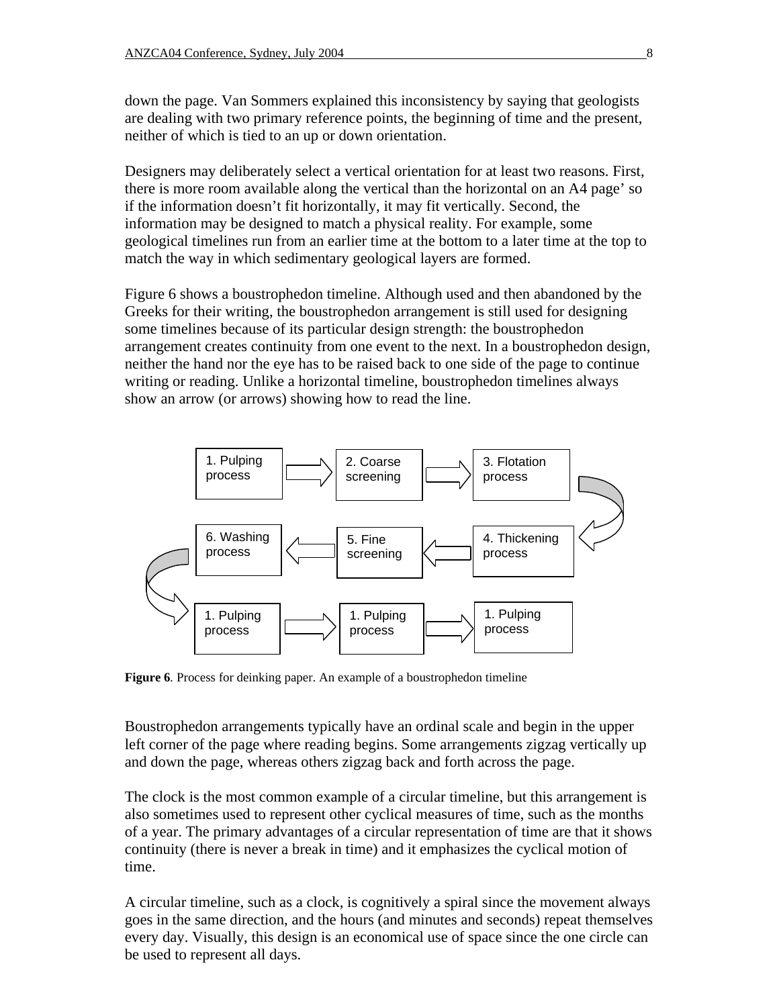down the page. Van Sommers explained this inconsistency by saying that geologists are dealing with two primary reference points, the beginning of time and the present, neither of which is tied to an up or down orientation.

Designers may deliberately select a vertical orientation for at least two reasons. First, there is more room available along the vertical than the horizontal on an A4 page' so if the information doesn't fit horizontally, it may fit vertically. Second, the information may be designed to match a physical reality. For example, some geological timelines run from an earlier time at the bottom to a later time at the top to match the way in which sedimentary geological layers are formed.

Figure 6 shows a boustrophedon timeline. Although used and then abandoned by the Greeks for their writing, the boustrophedon arrangement is still used for designing some timelines because of its particular design strength: the boustrophedon arrangement creates continuity from one event to the next. In a boustrophedon design, neither the hand nor the eye has to be raised back to one side of the page to continue writing or reading. Unlike a horizontal timeline, boustrophedon timelines always show an arrow (or arrows) showing how to read the line.



**Figure 6***.* Process for deinking paper. An example of a boustrophedon timeline

Boustrophedon arrangements typically have an ordinal scale and begin in the upper left corner of the page where reading begins. Some arrangements zigzag vertically up and down the page, whereas others zigzag back and forth across the page.

The clock is the most common example of a circular timeline, but this arrangement is also sometimes used to represent other cyclical measures of time, such as the months of a year. The primary advantages of a circular representation of time are that it shows continuity (there is never a break in time) and it emphasizes the cyclical motion of time.

A circular timeline, such as a clock, is cognitively a spiral since the movement always goes in the same direction, and the hours (and minutes and seconds) repeat themselves every day. Visually, this design is an economical use of space since the one circle can be used to represent all days.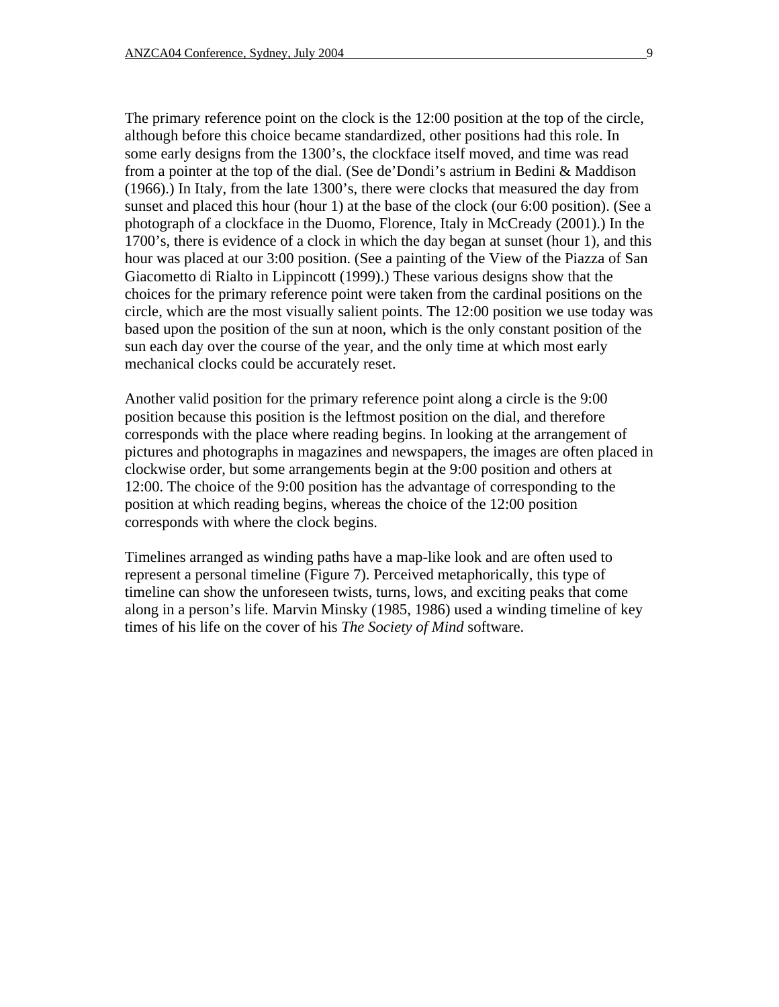The primary reference point on the clock is the 12:00 position at the top of the circle, although before this choice became standardized, other positions had this role. In some early designs from the 1300's, the clockface itself moved, and time was read from a pointer at the top of the dial. (See de'Dondi's astrium in Bedini & Maddison (1966).) In Italy, from the late 1300's, there were clocks that measured the day from sunset and placed this hour (hour 1) at the base of the clock (our 6:00 position). (See a photograph of a clockface in the Duomo, Florence, Italy in McCready (2001).) In the 1700's, there is evidence of a clock in which the day began at sunset (hour 1), and this hour was placed at our 3:00 position. (See a painting of the View of the Piazza of San Giacometto di Rialto in Lippincott (1999).) These various designs show that the choices for the primary reference point were taken from the cardinal positions on the circle, which are the most visually salient points. The 12:00 position we use today was based upon the position of the sun at noon, which is the only constant position of the sun each day over the course of the year, and the only time at which most early mechanical clocks could be accurately reset.

Another valid position for the primary reference point along a circle is the 9:00 position because this position is the leftmost position on the dial, and therefore corresponds with the place where reading begins. In looking at the arrangement of pictures and photographs in magazines and newspapers, the images are often placed in clockwise order, but some arrangements begin at the 9:00 position and others at 12:00. The choice of the 9:00 position has the advantage of corresponding to the position at which reading begins, whereas the choice of the 12:00 position corresponds with where the clock begins.

Timelines arranged as winding paths have a map-like look and are often used to represent a personal timeline (Figure 7). Perceived metaphorically, this type of timeline can show the unforeseen twists, turns, lows, and exciting peaks that come along in a person's life. Marvin Minsky (1985, 1986) used a winding timeline of key times of his life on the cover of his *The Society of Mind* software.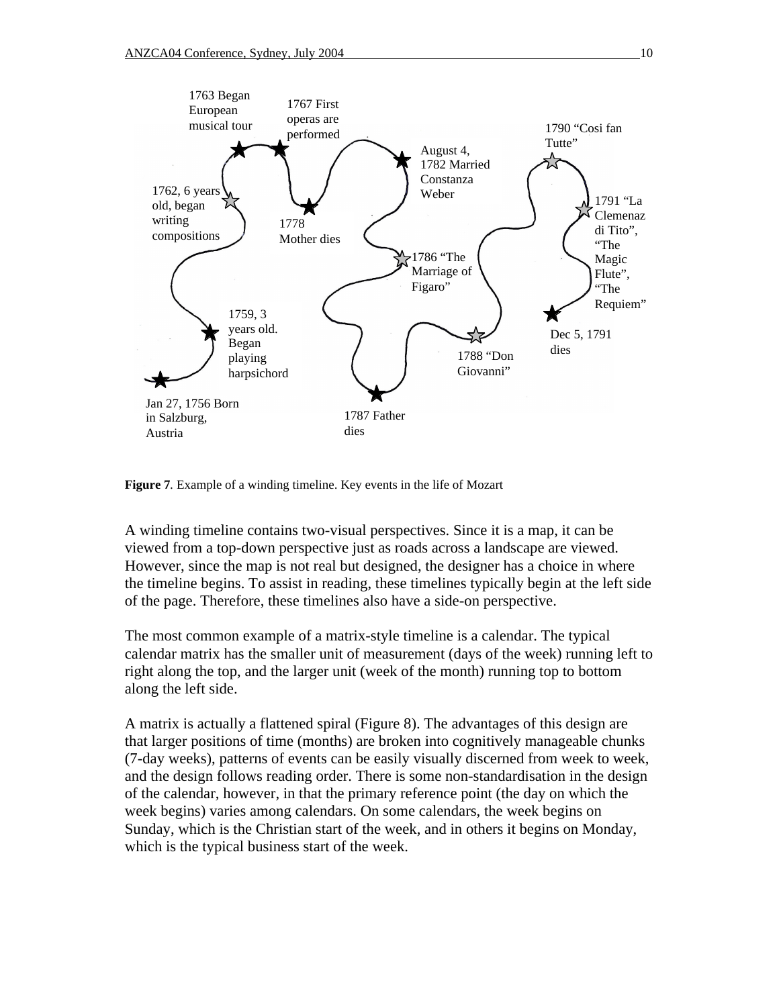

**Figure 7***.* Example of a winding timeline. Key events in the life of Mozart

A winding timeline contains two-visual perspectives. Since it is a map, it can be viewed from a top-down perspective just as roads across a landscape are viewed. However, since the map is not real but designed, the designer has a choice in where the timeline begins. To assist in reading, these timelines typically begin at the left side of the page. Therefore, these timelines also have a side-on perspective.

The most common example of a matrix-style timeline is a calendar. The typical calendar matrix has the smaller unit of measurement (days of the week) running left to right along the top, and the larger unit (week of the month) running top to bottom along the left side.

A matrix is actually a flattened spiral (Figure 8). The advantages of this design are that larger positions of time (months) are broken into cognitively manageable chunks (7-day weeks), patterns of events can be easily visually discerned from week to week, and the design follows reading order. There is some non-standardisation in the design of the calendar, however, in that the primary reference point (the day on which the week begins) varies among calendars. On some calendars, the week begins on Sunday, which is the Christian start of the week, and in others it begins on Monday, which is the typical business start of the week.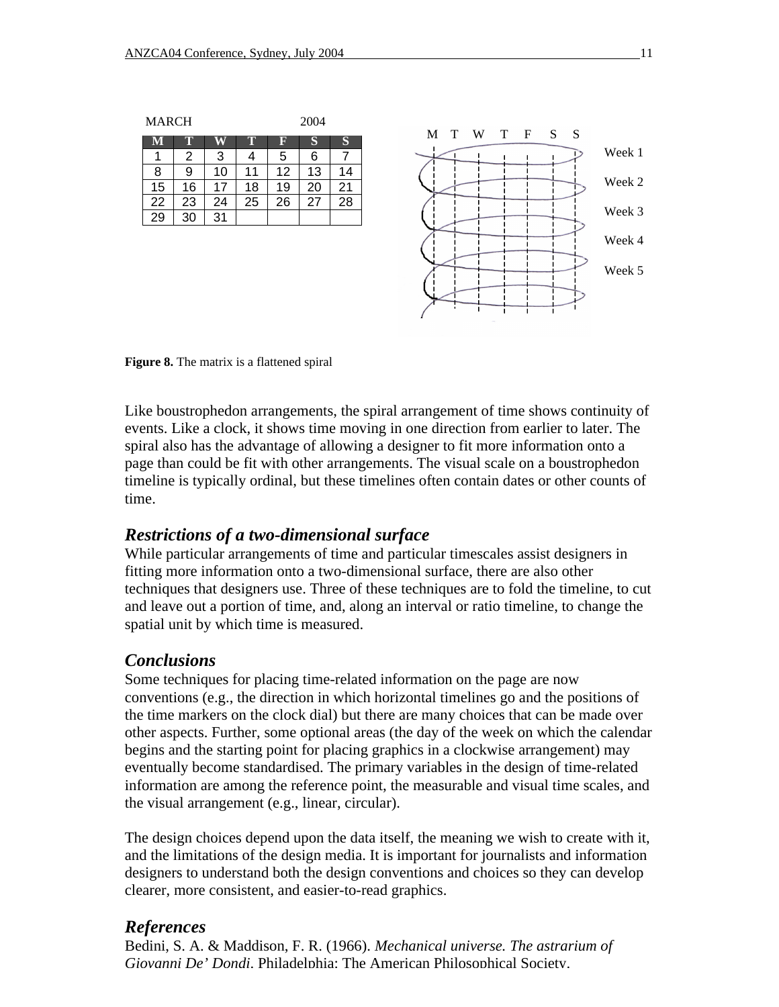

**Figure 8.** The matrix is a flattened spiral

Like boustrophedon arrangements, the spiral arrangement of time shows continuity of events. Like a clock, it shows time moving in one direction from earlier to later. The spiral also has the advantage of allowing a designer to fit more information onto a page than could be fit with other arrangements. The visual scale on a boustrophedon timeline is typically ordinal, but these timelines often contain dates or other counts of time.

#### *Restrictions of a two-dimensional surface*

While particular arrangements of time and particular timescales assist designers in fitting more information onto a two-dimensional surface, there are also other techniques that designers use. Three of these techniques are to fold the timeline, to cut and leave out a portion of time, and, along an interval or ratio timeline, to change the spatial unit by which time is measured.

#### *Conclusions*

Some techniques for placing time-related information on the page are now conventions (e.g., the direction in which horizontal timelines go and the positions of the time markers on the clock dial) but there are many choices that can be made over other aspects. Further, some optional areas (the day of the week on which the calendar begins and the starting point for placing graphics in a clockwise arrangement) may eventually become standardised. The primary variables in the design of time-related information are among the reference point, the measurable and visual time scales, and the visual arrangement (e.g., linear, circular).

The design choices depend upon the data itself, the meaning we wish to create with it, and the limitations of the design media. It is important for journalists and information designers to understand both the design conventions and choices so they can develop clearer, more consistent, and easier-to-read graphics.

#### *References*

Bedini, S. A. & Maddison, F. R. (1966). *Mechanical universe. The astrarium of Giovanni De' Dondi*. Philadelphia: The American Philosophical Society.